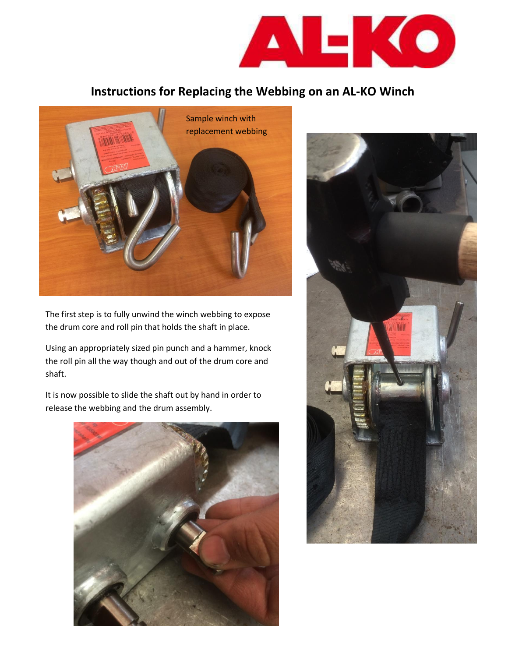

## **Instructions for Replacing the Webbing on an AL-KO Winch**



The first step is to fully unwind the winch webbing to expose the drum core and roll pin that holds the shaft in place.

Using an appropriately sized pin punch and a hammer, knock the roll pin all the way though and out of the drum core and shaft.

It is now possible to slide the shaft out by hand in order to release the webbing and the drum assembly.